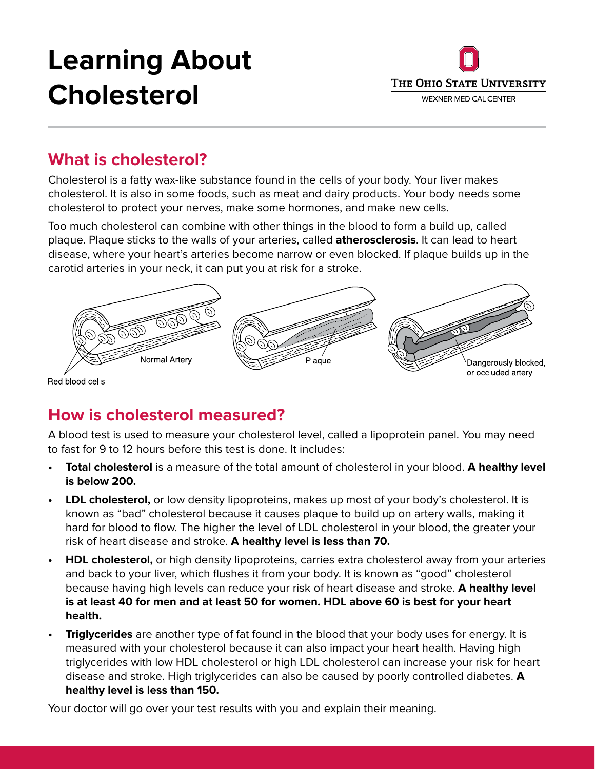# **Learning About Cholesterol**



## **What is cholesterol?**

Cholesterol is a fatty wax-like substance found in the cells of your body. Your liver makes cholesterol. It is also in some foods, such as meat and dairy products. Your body needs some cholesterol to protect your nerves, make some hormones, and make new cells.

Too much cholesterol can combine with other things in the blood to form a build up, called plaque. Plaque sticks to the walls of your arteries, called **atherosclerosis**. It can lead to heart disease, where your heart's arteries become narrow or even blocked. If plaque builds up in the carotid arteries in your neck, it can put you at risk for a stroke.



#### Red blood cells

## **How is cholesterol measured?**

A blood test is used to measure your cholesterol level, called a lipoprotein panel. You may need to fast for 9 to 12 hours before this test is done. It includes:

- **• Total cholesterol** is a measure of the total amount of cholesterol in your blood. **A healthy level is below 200.**
- **• LDL cholesterol,** or low density lipoproteins, makes up most of your body's cholesterol. It is known as "bad" cholesterol because it causes plaque to build up on artery walls, making it hard for blood to flow. The higher the level of LDL cholesterol in your blood, the greater your risk of heart disease and stroke. **A healthy level is less than 70.**
- **• HDL cholesterol,** or high density lipoproteins, carries extra cholesterol away from your arteries and back to your liver, which flushes it from your body. It is known as "good" cholesterol because having high levels can reduce your risk of heart disease and stroke. **A healthy level is at least 40 for men and at least 50 for women. HDL above 60 is best for your heart health.**
- **• Triglycerides** are another type of fat found in the blood that your body uses for energy. It is measured with your cholesterol because it can also impact your heart health. Having high triglycerides with low HDL cholesterol or high LDL cholesterol can increase your risk for heart disease and stroke. High triglycerides can also be caused by poorly controlled diabetes. **A healthy level is less than 150.**

Your doctor will go over your test results with you and explain their meaning.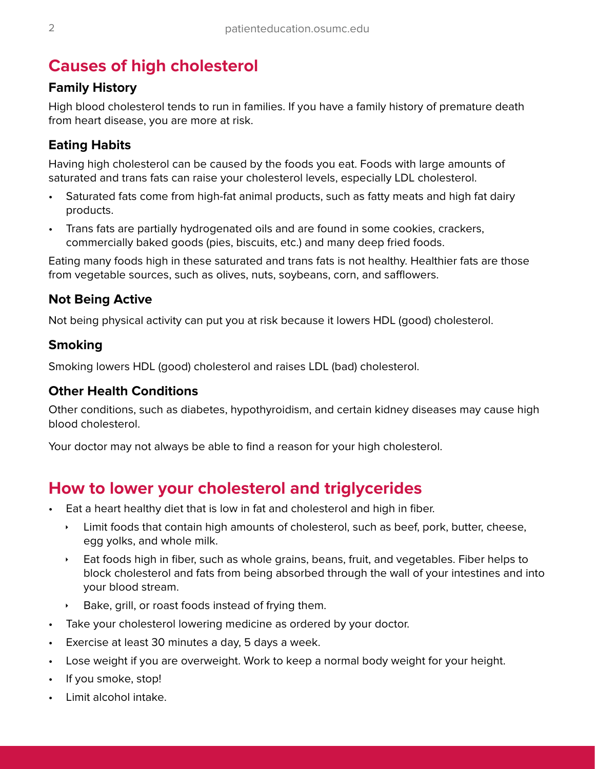## **Causes of high cholesterol**

#### **Family History**

High blood cholesterol tends to run in families. If you have a family history of premature death from heart disease, you are more at risk.

#### **Eating Habits**

Having high cholesterol can be caused by the foods you eat. Foods with large amounts of saturated and trans fats can raise your cholesterol levels, especially LDL cholesterol.

- Saturated fats come from high-fat animal products, such as fatty meats and high fat dairy products.
- Trans fats are partially hydrogenated oils and are found in some cookies, crackers, commercially baked goods (pies, biscuits, etc.) and many deep fried foods.

Eating many foods high in these saturated and trans fats is not healthy. Healthier fats are those from vegetable sources, such as olives, nuts, soybeans, corn, and safflowers.

#### **Not Being Active**

Not being physical activity can put you at risk because it lowers HDL (good) cholesterol.

#### **Smoking**

Smoking lowers HDL (good) cholesterol and raises LDL (bad) cholesterol.

#### **Other Health Conditions**

Other conditions, such as diabetes, hypothyroidism, and certain kidney diseases may cause high blood cholesterol.

Your doctor may not always be able to find a reason for your high cholesterol.

## **How to lower your cholesterol and triglycerides**

- Eat a heart healthy diet that is low in fat and cholesterol and high in fiber.
	- $\cdot$  Limit foods that contain high amounts of cholesterol, such as beef, pork, butter, cheese, egg yolks, and whole milk.
	- $\cdot$  Eat foods high in fiber, such as whole grains, beans, fruit, and vegetables. Fiber helps to block cholesterol and fats from being absorbed through the wall of your intestines and into your blood stream.
	- Bake, grill, or roast foods instead of frying them.
- Take your cholesterol lowering medicine as ordered by your doctor.
- Exercise at least 30 minutes a day, 5 days a week.
- Lose weight if you are overweight. Work to keep a normal body weight for your height.
- If you smoke, stop!
- Limit alcohol intake.